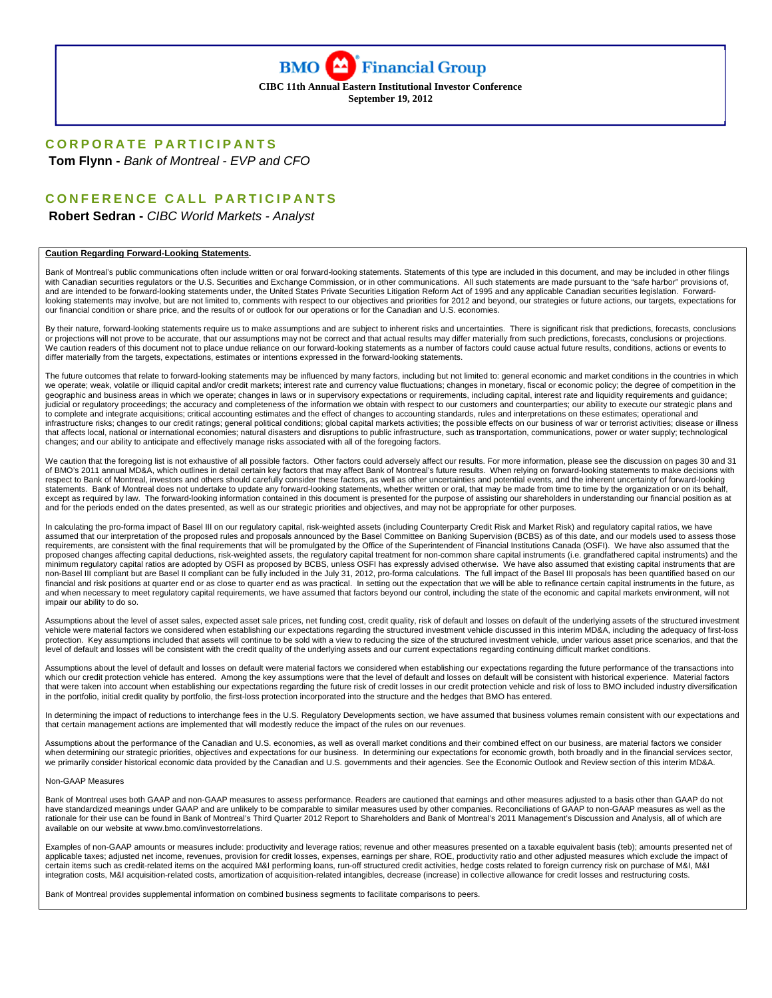

**CIBC 11th Annual Eastern Institutional Investor Conference September 19, 2012** 

# **CORPORATE PARTICIPANTS**

 **Tom Flynn -** *Bank of Montreal - EVP and CFO* 

# **CONFERENCE CALL PARTICIPANTS**

#### **Robert Sedran -** *CIBC World Markets - Analyst*

#### **Caution Regarding Forward-Looking Statements.**

Bank of Montreal's public communications often include written or oral forward-looking statements. Statements of this type are included in this document, and may be included in other filings with Canadian securities regulators or the U.S. Securities and Exchange Commission, or in other communications. All such statements are made pursuant to the "safe harbor" provisions of, and are intended to be forward-looking statements under, the United States Private Securities Litigation Reform Act of 1995 and any applicable Canadian securities legislation. Forwardlooking statements may involve, but are not limited to, comments with respect to our objectives and priorities for 2012 and beyond, our strategies or future actions, our targets, expectations for our financial condition or share price, and the results of or outlook for our operations or for the Canadian and U.S. economies.

By their nature, forward-looking statements require us to make assumptions and are subject to inherent risks and uncertainties. There is significant risk that predictions, forecasts, conclusions or projections will not prove to be accurate, that our assumptions may not be correct and that actual results may differ materially from such predictions, forecasts, conclusions or projections. We caution readers of this document not to place undue reliance on our forward-looking statements as a number of factors could cause actual future results, conditions, actions or events to differ materially from the targets, expectations, estimates or intentions expressed in the forward-looking statements.

The future outcomes that relate to forward-looking statements may be influenced by many factors, including but not limited to: general economic and market conditions in the countries in which we operate; weak, volatile or illiquid capital and/or credit markets; interest rate and currency value fluctuations; changes in monetary, fiscal or economic policy; the degree of competition in the geographic and business areas in which we operate; changes in laws or in supervisory expectations or requirements, including capital, interest rate and liquidity requirements and guidance; judicial or regulatory proceedings; the accuracy and completeness of the information we obtain with respect to our customers and counterparties; our ability to execute our strategic plans and<br>to complete and integrate acqu infrastructure risks; changes to our credit ratings; general political conditions; global capital markets activities; the possible effects on our business of war or terrorist activities; disease or illness that affects local, national or international economies; natural disasters and disruptions to public infrastructure, such as transportation, communications, power or water supply; technological changes; and our ability to anticipate and effectively manage risks associated with all of the foregoing factors.

We caution that the foregoing list is not exhaustive of all possible factors. Other factors could adversely affect our results. For more information, please see the discussion on pages 30 and 31 of BMO's 2011 annual MD&A, which outlines in detail certain key factors that may affect Bank of Montreal's future results. When relying on forward-looking statements to make decisions with respect to Bank of Montreal, investors and others should carefully consider these factors, as well as other uncertainties and potential events, and the inherent uncertainty of forward-looking statements. Bank of Montreal does not undertake to update any forward-looking statements, whether written or oral, that may be made from time to time by the organization or on its behalf, except as required by law. The forward-looking information contained in this document is presented for the purpose of assisting our shareholders in understanding our financial position as at and for the periods ended on the dates presented, as well as our strategic priorities and objectives, and may not be appropriate for other purposes.

In calculating the pro-forma impact of Basel III on our regulatory capital, risk-weighted assets (including Counterparty Credit Risk and Market Risk) and regulatory capital ratios, we have<br>assumed that our interpretation o requirements, are consistent with the final requirements that will be promulgated by the Office of the Superintendent of Financial Institutions Canada (OSFI). We have also assumed that the proposed changes affecting capital deductions, risk-weighted assets, the regulatory capital treatment for non-common share capital instruments (i.e. grandfathered capital instruments) and the minimum regulatory capital ratios are adopted by OSFI as proposed by BCBS, unless OSFI has expressly advised otherwise. We have also assumed that existing capital instruments that are non-Basel III compliant but are Basel II compliant can be fully included in the July 31, 2012, pro-forma calculations. The full impact of the Basel III proposals has been quantified based on our<br>financial and risk position and when necessary to meet regulatory capital requirements, we have assumed that factors beyond our control, including the state of the economic and capital markets environment, will not impair our ability to do so.

Assumptions about the level of asset sales, expected asset sale prices, net funding cost, credit quality, risk of default and losses on default of the underlying assets of the structured investment vehicle were material factors we considered when establishing our expectations regarding the structured investment vehicle discussed in this interim MD&A, including the adequacy of first-loss protection. Key assumptions included that assets will continue to be sold with a view to reducing the size of the structured investment vehicle, under various asset price scenarios, and that the level of default and losses will be consistent with the credit quality of the underlying assets and our current expectations regarding continuing difficult market conditions.

Assumptions about the level of default and losses on default were material factors we considered when establishing our expectations regarding the future performance of the transactions into which our credit protection vehicle has entered. Among the key assumptions were that the level of default and losses on default will be consistent with historical experience. Material factors that were taken into account when establishing our expectations regarding the future risk of credit losses in our credit protection vehicle and risk of loss to BMO included industry diversification in the portfolio, initial credit quality by portfolio, the first-loss protection incorporated into the structure and the hedges that BMO has entered.

In determining the impact of reductions to interchange fees in the U.S. Regulatory Developments section, we have assumed that business volumes remain consistent with our expectations and that certain management actions are implemented that will modestly reduce the impact of the rules on our revenues.

Assumptions about the performance of the Canadian and U.S. economies, as well as overall market conditions and their combined effect on our business, are material factors we consider when determining our strategic priorities, objectives and expectations for our business. In determining our expectations for economic growth, both broadly and in the financial services sector,<br>we primarily consider histori

#### Non-GAAP Measures

Bank of Montreal uses both GAAP and non-GAAP measures to assess performance. Readers are cautioned that earnings and other measures adjusted to a basis other than GAAP do not have standardized meanings under GAAP and are unlikely to be comparable to similar measures used by other companies. Reconciliations of GAAP to non-GAAP measures as well as the<br>rationale for their use can be found in Bank available on our website at www.bmo.com/investorrelations.

Examples of non-GAAP amounts or measures include: productivity and leverage ratios; revenue and other measures presented on a taxable equivalent basis (teb); amounts presented net of applicable taxes; adjusted net income, revenues, provision for credit losses, expenses, earnings per share, ROE, productivity ratio and other adjusted measures which exclude the impact of certain items such as credit-related items on the acquired M&I performing loans, run-off structured credit activities, hedge costs related to foreign currency risk on purchase of M&I, M&I integration costs, M&I acquisition-related costs, amortization of acquisition-related intangibles, decrease (increase) in collective allowance for credit losses and restructuring costs.

Bank of Montreal provides supplemental information on combined business segments to facilitate comparisons to peers.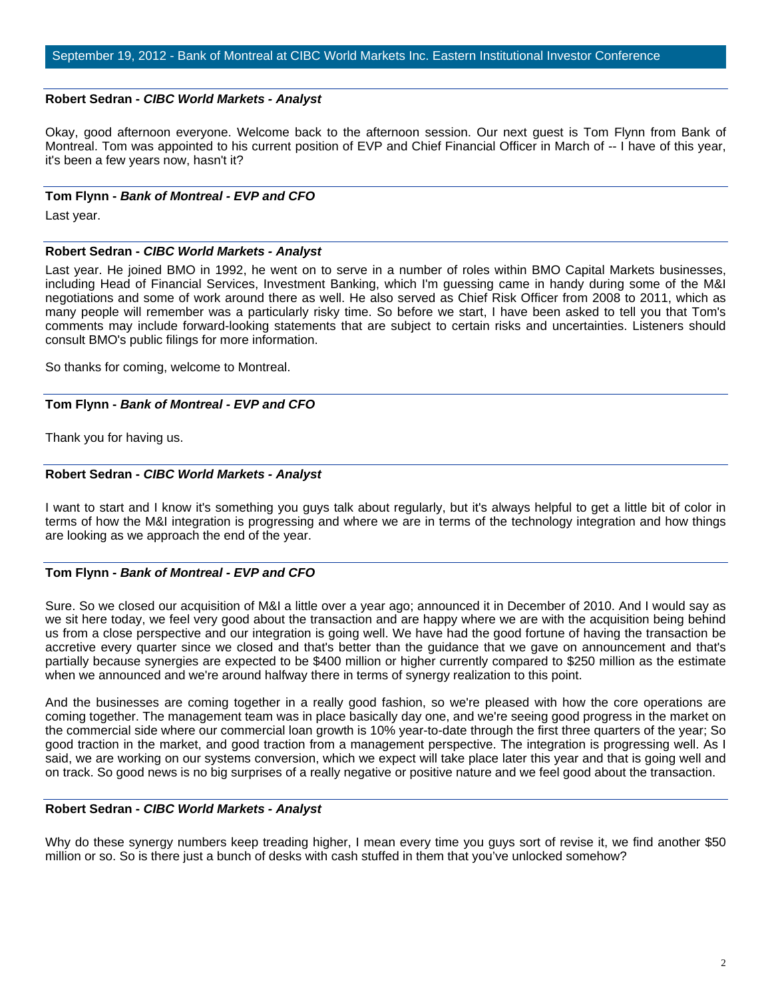# **Robert Sedran -** *CIBC World Markets - Analyst*

Okay, good afternoon everyone. Welcome back to the afternoon session. Our next guest is Tom Flynn from Bank of Montreal. Tom was appointed to his current position of EVP and Chief Financial Officer in March of -- I have of this year, it's been a few years now, hasn't it?

# **Tom Flynn -** *Bank of Montreal - EVP and CFO*

Last year.

#### **Robert Sedran -** *CIBC World Markets - Analyst*

Last year. He joined BMO in 1992, he went on to serve in a number of roles within BMO Capital Markets businesses, including Head of Financial Services, Investment Banking, which I'm guessing came in handy during some of the M&I negotiations and some of work around there as well. He also served as Chief Risk Officer from 2008 to 2011, which as many people will remember was a particularly risky time. So before we start, I have been asked to tell you that Tom's comments may include forward-looking statements that are subject to certain risks and uncertainties. Listeners should consult BMO's public filings for more information.

So thanks for coming, welcome to Montreal.

# **Tom Flynn -** *Bank of Montreal - EVP and CFO*

Thank you for having us.

## **Robert Sedran -** *CIBC World Markets - Analyst*

I want to start and I know it's something you guys talk about regularly, but it's always helpful to get a little bit of color in terms of how the M&I integration is progressing and where we are in terms of the technology integration and how things are looking as we approach the end of the year.

# **Tom Flynn -** *Bank of Montreal - EVP and CFO*

Sure. So we closed our acquisition of M&I a little over a year ago; announced it in December of 2010. And I would say as we sit here today, we feel very good about the transaction and are happy where we are with the acquisition being behind us from a close perspective and our integration is going well. We have had the good fortune of having the transaction be accretive every quarter since we closed and that's better than the guidance that we gave on announcement and that's partially because synergies are expected to be \$400 million or higher currently compared to \$250 million as the estimate when we announced and we're around halfway there in terms of synergy realization to this point.

And the businesses are coming together in a really good fashion, so we're pleased with how the core operations are coming together. The management team was in place basically day one, and we're seeing good progress in the market on the commercial side where our commercial loan growth is 10% year-to-date through the first three quarters of the year; So good traction in the market, and good traction from a management perspective. The integration is progressing well. As I said, we are working on our systems conversion, which we expect will take place later this year and that is going well and on track. So good news is no big surprises of a really negative or positive nature and we feel good about the transaction.

# **Robert Sedran -** *CIBC World Markets - Analyst*

Why do these synergy numbers keep treading higher, I mean every time you guys sort of revise it, we find another \$50 million or so. So is there just a bunch of desks with cash stuffed in them that you've unlocked somehow?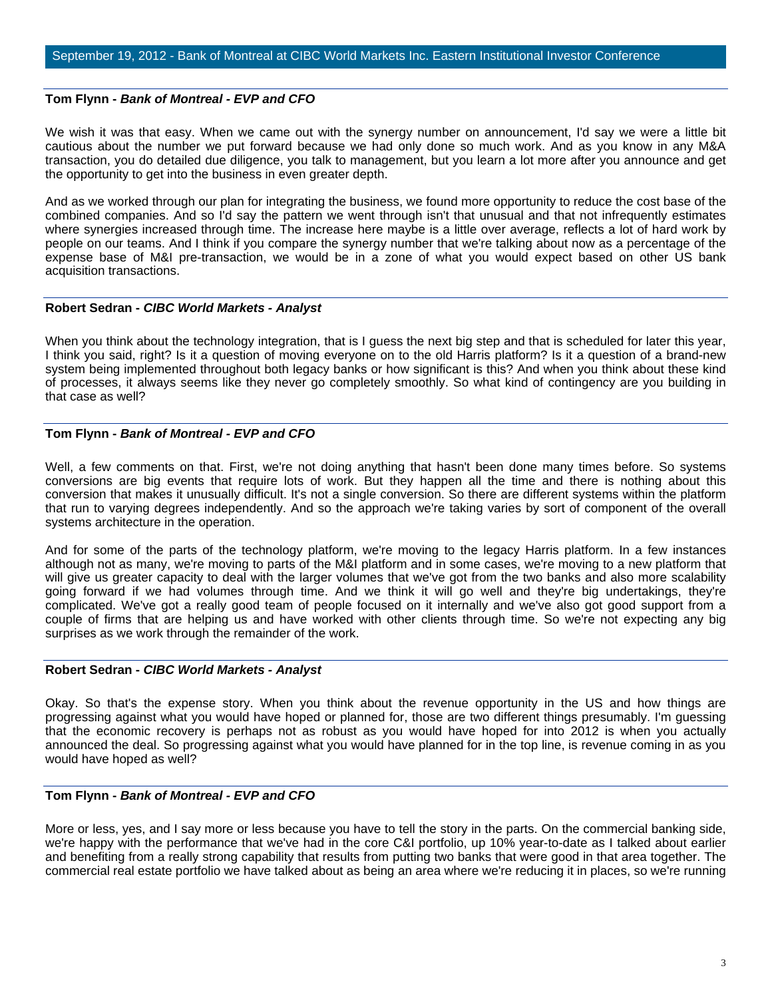## **Tom Flynn -** *Bank of Montreal - EVP and CFO*

We wish it was that easy. When we came out with the synergy number on announcement, I'd say we were a little bit cautious about the number we put forward because we had only done so much work. And as you know in any M&A transaction, you do detailed due diligence, you talk to management, but you learn a lot more after you announce and get the opportunity to get into the business in even greater depth.

And as we worked through our plan for integrating the business, we found more opportunity to reduce the cost base of the combined companies. And so I'd say the pattern we went through isn't that unusual and that not infrequently estimates where synergies increased through time. The increase here maybe is a little over average, reflects a lot of hard work by people on our teams. And I think if you compare the synergy number that we're talking about now as a percentage of the expense base of M&I pre-transaction, we would be in a zone of what you would expect based on other US bank acquisition transactions.

## **Robert Sedran -** *CIBC World Markets - Analyst*

When you think about the technology integration, that is I guess the next big step and that is scheduled for later this year, I think you said, right? Is it a question of moving everyone on to the old Harris platform? Is it a question of a brand-new system being implemented throughout both legacy banks or how significant is this? And when you think about these kind of processes, it always seems like they never go completely smoothly. So what kind of contingency are you building in that case as well?

# **Tom Flynn -** *Bank of Montreal - EVP and CFO*

Well, a few comments on that. First, we're not doing anything that hasn't been done many times before. So systems conversions are big events that require lots of work. But they happen all the time and there is nothing about this conversion that makes it unusually difficult. It's not a single conversion. So there are different systems within the platform that run to varying degrees independently. And so the approach we're taking varies by sort of component of the overall systems architecture in the operation.

And for some of the parts of the technology platform, we're moving to the legacy Harris platform. In a few instances although not as many, we're moving to parts of the M&I platform and in some cases, we're moving to a new platform that will give us greater capacity to deal with the larger volumes that we've got from the two banks and also more scalability going forward if we had volumes through time. And we think it will go well and they're big undertakings, they're complicated. We've got a really good team of people focused on it internally and we've also got good support from a couple of firms that are helping us and have worked with other clients through time. So we're not expecting any big surprises as we work through the remainder of the work.

# **Robert Sedran -** *CIBC World Markets - Analyst*

Okay. So that's the expense story. When you think about the revenue opportunity in the US and how things are progressing against what you would have hoped or planned for, those are two different things presumably. I'm guessing that the economic recovery is perhaps not as robust as you would have hoped for into 2012 is when you actually announced the deal. So progressing against what you would have planned for in the top line, is revenue coming in as you would have hoped as well?

#### **Tom Flynn -** *Bank of Montreal - EVP and CFO*

More or less, yes, and I say more or less because you have to tell the story in the parts. On the commercial banking side, we're happy with the performance that we've had in the core C&I portfolio, up 10% year-to-date as I talked about earlier and benefiting from a really strong capability that results from putting two banks that were good in that area together. The commercial real estate portfolio we have talked about as being an area where we're reducing it in places, so we're running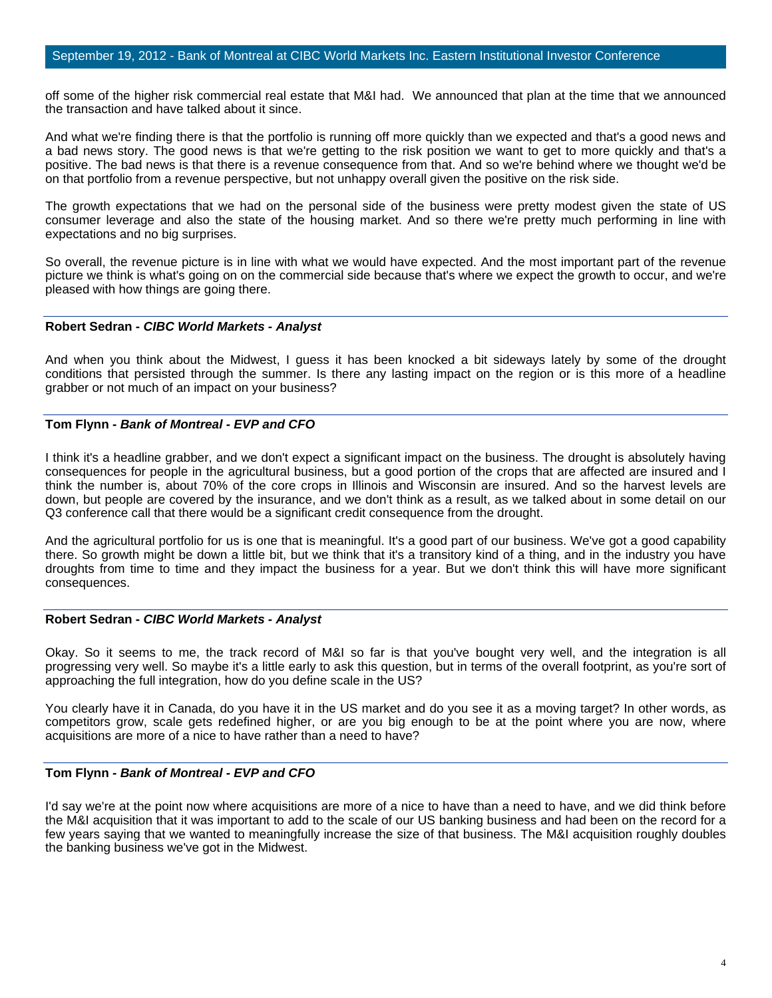off some of the higher risk commercial real estate that M&I had. We announced that plan at the time that we announced the transaction and have talked about it since.

And what we're finding there is that the portfolio is running off more quickly than we expected and that's a good news and a bad news story. The good news is that we're getting to the risk position we want to get to more quickly and that's a positive. The bad news is that there is a revenue consequence from that. And so we're behind where we thought we'd be on that portfolio from a revenue perspective, but not unhappy overall given the positive on the risk side.

The growth expectations that we had on the personal side of the business were pretty modest given the state of US consumer leverage and also the state of the housing market. And so there we're pretty much performing in line with expectations and no big surprises.

So overall, the revenue picture is in line with what we would have expected. And the most important part of the revenue picture we think is what's going on on the commercial side because that's where we expect the growth to occur, and we're pleased with how things are going there.

# **Robert Sedran -** *CIBC World Markets - Analyst*

And when you think about the Midwest, I guess it has been knocked a bit sideways lately by some of the drought conditions that persisted through the summer. Is there any lasting impact on the region or is this more of a headline grabber or not much of an impact on your business?

## **Tom Flynn -** *Bank of Montreal - EVP and CFO*

I think it's a headline grabber, and we don't expect a significant impact on the business. The drought is absolutely having consequences for people in the agricultural business, but a good portion of the crops that are affected are insured and I think the number is, about 70% of the core crops in Illinois and Wisconsin are insured. And so the harvest levels are down, but people are covered by the insurance, and we don't think as a result, as we talked about in some detail on our Q3 conference call that there would be a significant credit consequence from the drought.

And the agricultural portfolio for us is one that is meaningful. It's a good part of our business. We've got a good capability there. So growth might be down a little bit, but we think that it's a transitory kind of a thing, and in the industry you have droughts from time to time and they impact the business for a year. But we don't think this will have more significant consequences.

#### **Robert Sedran -** *CIBC World Markets - Analyst*

Okay. So it seems to me, the track record of M&I so far is that you've bought very well, and the integration is all progressing very well. So maybe it's a little early to ask this question, but in terms of the overall footprint, as you're sort of approaching the full integration, how do you define scale in the US?

You clearly have it in Canada, do you have it in the US market and do you see it as a moving target? In other words, as competitors grow, scale gets redefined higher, or are you big enough to be at the point where you are now, where acquisitions are more of a nice to have rather than a need to have?

# **Tom Flynn -** *Bank of Montreal - EVP and CFO*

I'd say we're at the point now where acquisitions are more of a nice to have than a need to have, and we did think before the M&I acquisition that it was important to add to the scale of our US banking business and had been on the record for a few years saying that we wanted to meaningfully increase the size of that business. The M&I acquisition roughly doubles the banking business we've got in the Midwest.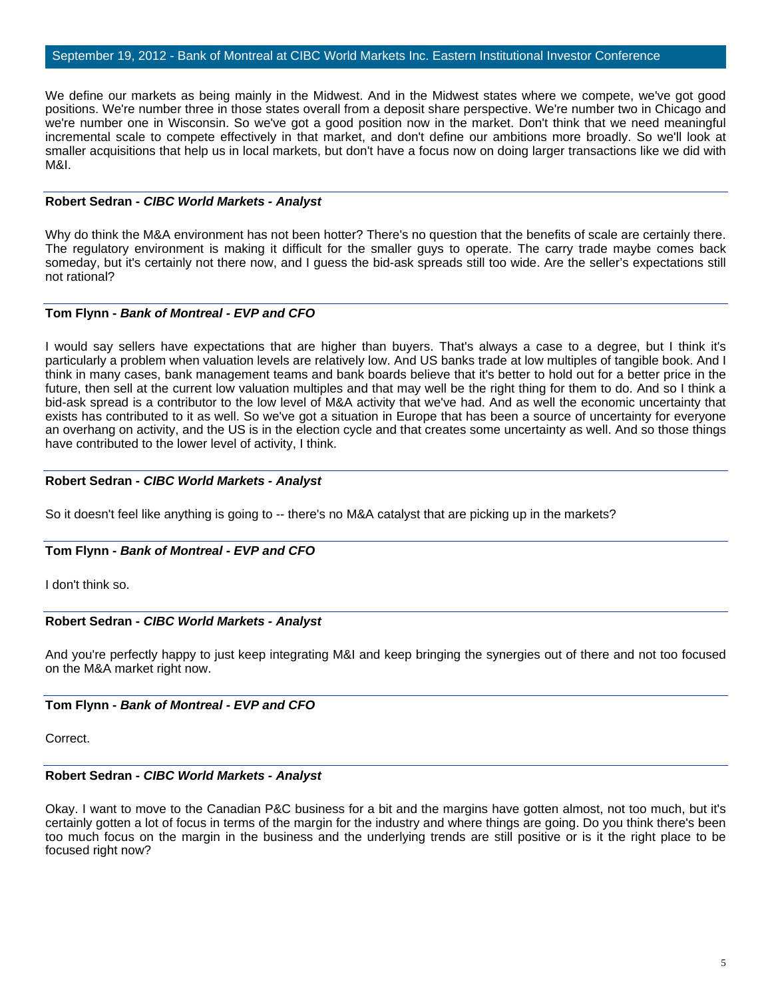# September 19, 2012 - Bank of Montreal at CIBC World Markets Inc. Eastern Institutional Investor Conference

We define our markets as being mainly in the Midwest. And in the Midwest states where we compete, we've got good positions. We're number three in those states overall from a deposit share perspective. We're number two in Chicago and we're number one in Wisconsin. So we've got a good position now in the market. Don't think that we need meaningful incremental scale to compete effectively in that market, and don't define our ambitions more broadly. So we'll look at smaller acquisitions that help us in local markets, but don't have a focus now on doing larger transactions like we did with M&I.

# **Robert Sedran -** *CIBC World Markets - Analyst*

Why do think the M&A environment has not been hotter? There's no question that the benefits of scale are certainly there. The regulatory environment is making it difficult for the smaller guys to operate. The carry trade maybe comes back someday, but it's certainly not there now, and I guess the bid-ask spreads still too wide. Are the seller's expectations still not rational?

## **Tom Flynn -** *Bank of Montreal - EVP and CFO*

I would say sellers have expectations that are higher than buyers. That's always a case to a degree, but I think it's particularly a problem when valuation levels are relatively low. And US banks trade at low multiples of tangible book. And I think in many cases, bank management teams and bank boards believe that it's better to hold out for a better price in the future, then sell at the current low valuation multiples and that may well be the right thing for them to do. And so I think a bid-ask spread is a contributor to the low level of M&A activity that we've had. And as well the economic uncertainty that exists has contributed to it as well. So we've got a situation in Europe that has been a source of uncertainty for everyone an overhang on activity, and the US is in the election cycle and that creates some uncertainty as well. And so those things have contributed to the lower level of activity, I think.

## **Robert Sedran -** *CIBC World Markets - Analyst*

So it doesn't feel like anything is going to -- there's no M&A catalyst that are picking up in the markets?

# **Tom Flynn -** *Bank of Montreal - EVP and CFO*

I don't think so.

#### **Robert Sedran -** *CIBC World Markets - Analyst*

And you're perfectly happy to just keep integrating M&I and keep bringing the synergies out of there and not too focused on the M&A market right now.

## **Tom Flynn -** *Bank of Montreal - EVP and CFO*

**Correct** 

## **Robert Sedran -** *CIBC World Markets - Analyst*

Okay. I want to move to the Canadian P&C business for a bit and the margins have gotten almost, not too much, but it's certainly gotten a lot of focus in terms of the margin for the industry and where things are going. Do you think there's been too much focus on the margin in the business and the underlying trends are still positive or is it the right place to be focused right now?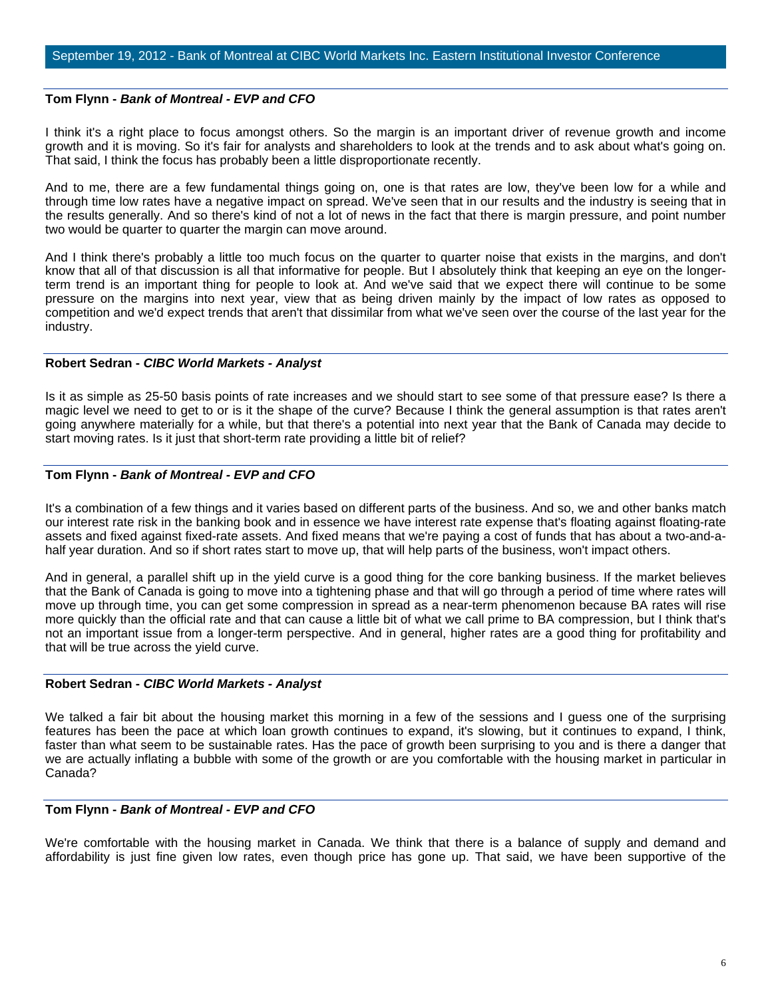## **Tom Flynn -** *Bank of Montreal - EVP and CFO*

I think it's a right place to focus amongst others. So the margin is an important driver of revenue growth and income growth and it is moving. So it's fair for analysts and shareholders to look at the trends and to ask about what's going on. That said, I think the focus has probably been a little disproportionate recently.

And to me, there are a few fundamental things going on, one is that rates are low, they've been low for a while and through time low rates have a negative impact on spread. We've seen that in our results and the industry is seeing that in the results generally. And so there's kind of not a lot of news in the fact that there is margin pressure, and point number two would be quarter to quarter the margin can move around.

And I think there's probably a little too much focus on the quarter to quarter noise that exists in the margins, and don't know that all of that discussion is all that informative for people. But I absolutely think that keeping an eye on the longerterm trend is an important thing for people to look at. And we've said that we expect there will continue to be some pressure on the margins into next year, view that as being driven mainly by the impact of low rates as opposed to competition and we'd expect trends that aren't that dissimilar from what we've seen over the course of the last year for the industry.

## **Robert Sedran -** *CIBC World Markets - Analyst*

Is it as simple as 25-50 basis points of rate increases and we should start to see some of that pressure ease? Is there a magic level we need to get to or is it the shape of the curve? Because I think the general assumption is that rates aren't going anywhere materially for a while, but that there's a potential into next year that the Bank of Canada may decide to start moving rates. Is it just that short-term rate providing a little bit of relief?

# **Tom Flynn -** *Bank of Montreal - EVP and CFO*

It's a combination of a few things and it varies based on different parts of the business. And so, we and other banks match our interest rate risk in the banking book and in essence we have interest rate expense that's floating against floating-rate assets and fixed against fixed-rate assets. And fixed means that we're paying a cost of funds that has about a two-and-ahalf year duration. And so if short rates start to move up, that will help parts of the business, won't impact others.

And in general, a parallel shift up in the yield curve is a good thing for the core banking business. If the market believes that the Bank of Canada is going to move into a tightening phase and that will go through a period of time where rates will move up through time, you can get some compression in spread as a near-term phenomenon because BA rates will rise more quickly than the official rate and that can cause a little bit of what we call prime to BA compression, but I think that's not an important issue from a longer-term perspective. And in general, higher rates are a good thing for profitability and that will be true across the yield curve.

## **Robert Sedran -** *CIBC World Markets - Analyst*

We talked a fair bit about the housing market this morning in a few of the sessions and I guess one of the surprising features has been the pace at which loan growth continues to expand, it's slowing, but it continues to expand, I think, faster than what seem to be sustainable rates. Has the pace of growth been surprising to you and is there a danger that we are actually inflating a bubble with some of the growth or are you comfortable with the housing market in particular in Canada?

# **Tom Flynn -** *Bank of Montreal - EVP and CFO*

We're comfortable with the housing market in Canada. We think that there is a balance of supply and demand and affordability is just fine given low rates, even though price has gone up. That said, we have been supportive of the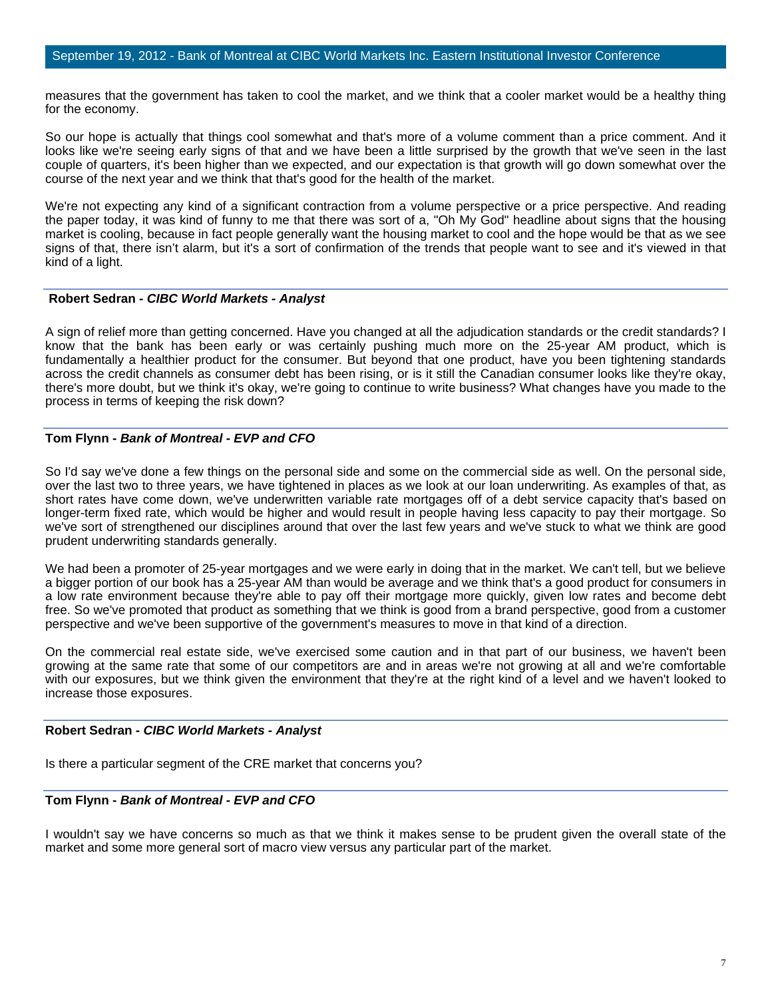measures that the government has taken to cool the market, and we think that a cooler market would be a healthy thing for the economy.

So our hope is actually that things cool somewhat and that's more of a volume comment than a price comment. And it looks like we're seeing early signs of that and we have been a little surprised by the growth that we've seen in the last couple of quarters, it's been higher than we expected, and our expectation is that growth will go down somewhat over the course of the next year and we think that that's good for the health of the market.

We're not expecting any kind of a significant contraction from a volume perspective or a price perspective. And reading the paper today, it was kind of funny to me that there was sort of a, "Oh My God" headline about signs that the housing market is cooling, because in fact people generally want the housing market to cool and the hope would be that as we see signs of that, there isn't alarm, but it's a sort of confirmation of the trends that people want to see and it's viewed in that kind of a light.

## **Robert Sedran -** *CIBC World Markets - Analyst*

A sign of relief more than getting concerned. Have you changed at all the adjudication standards or the credit standards? I know that the bank has been early or was certainly pushing much more on the 25-year AM product, which is fundamentally a healthier product for the consumer. But beyond that one product, have you been tightening standards across the credit channels as consumer debt has been rising, or is it still the Canadian consumer looks like they're okay, there's more doubt, but we think it's okay, we're going to continue to write business? What changes have you made to the process in terms of keeping the risk down?

# **Tom Flynn -** *Bank of Montreal - EVP and CFO*

So I'd say we've done a few things on the personal side and some on the commercial side as well. On the personal side, over the last two to three years, we have tightened in places as we look at our loan underwriting. As examples of that, as short rates have come down, we've underwritten variable rate mortgages off of a debt service capacity that's based on longer-term fixed rate, which would be higher and would result in people having less capacity to pay their mortgage. So we've sort of strengthened our disciplines around that over the last few years and we've stuck to what we think are good prudent underwriting standards generally.

We had been a promoter of 25-year mortgages and we were early in doing that in the market. We can't tell, but we believe a bigger portion of our book has a 25-year AM than would be average and we think that's a good product for consumers in a low rate environment because they're able to pay off their mortgage more quickly, given low rates and become debt free. So we've promoted that product as something that we think is good from a brand perspective, good from a customer perspective and we've been supportive of the government's measures to move in that kind of a direction.

On the commercial real estate side, we've exercised some caution and in that part of our business, we haven't been growing at the same rate that some of our competitors are and in areas we're not growing at all and we're comfortable with our exposures, but we think given the environment that they're at the right kind of a level and we haven't looked to increase those exposures.

#### **Robert Sedran -** *CIBC World Markets - Analyst*

Is there a particular segment of the CRE market that concerns you?

# **Tom Flynn -** *Bank of Montreal - EVP and CFO*

I wouldn't say we have concerns so much as that we think it makes sense to be prudent given the overall state of the market and some more general sort of macro view versus any particular part of the market.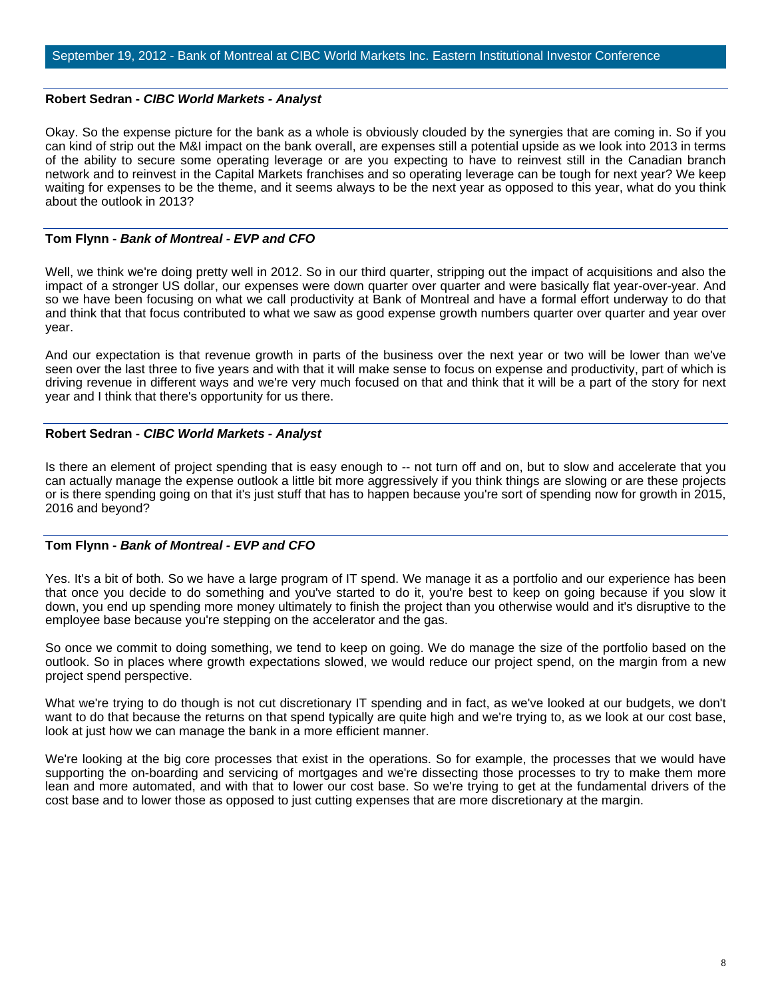# **Robert Sedran -** *CIBC World Markets - Analyst*

Okay. So the expense picture for the bank as a whole is obviously clouded by the synergies that are coming in. So if you can kind of strip out the M&I impact on the bank overall, are expenses still a potential upside as we look into 2013 in terms of the ability to secure some operating leverage or are you expecting to have to reinvest still in the Canadian branch network and to reinvest in the Capital Markets franchises and so operating leverage can be tough for next year? We keep waiting for expenses to be the theme, and it seems always to be the next year as opposed to this year, what do you think about the outlook in 2013?

# **Tom Flynn -** *Bank of Montreal - EVP and CFO*

Well, we think we're doing pretty well in 2012. So in our third quarter, stripping out the impact of acquisitions and also the impact of a stronger US dollar, our expenses were down quarter over quarter and were basically flat year-over-year. And so we have been focusing on what we call productivity at Bank of Montreal and have a formal effort underway to do that and think that that focus contributed to what we saw as good expense growth numbers quarter over quarter and year over year.

And our expectation is that revenue growth in parts of the business over the next year or two will be lower than we've seen over the last three to five years and with that it will make sense to focus on expense and productivity, part of which is driving revenue in different ways and we're very much focused on that and think that it will be a part of the story for next year and I think that there's opportunity for us there.

## **Robert Sedran -** *CIBC World Markets - Analyst*

Is there an element of project spending that is easy enough to -- not turn off and on, but to slow and accelerate that you can actually manage the expense outlook a little bit more aggressively if you think things are slowing or are these projects or is there spending going on that it's just stuff that has to happen because you're sort of spending now for growth in 2015, 2016 and beyond?

#### **Tom Flynn -** *Bank of Montreal - EVP and CFO*

Yes. It's a bit of both. So we have a large program of IT spend. We manage it as a portfolio and our experience has been that once you decide to do something and you've started to do it, you're best to keep on going because if you slow it down, you end up spending more money ultimately to finish the project than you otherwise would and it's disruptive to the employee base because you're stepping on the accelerator and the gas.

So once we commit to doing something, we tend to keep on going. We do manage the size of the portfolio based on the outlook. So in places where growth expectations slowed, we would reduce our project spend, on the margin from a new project spend perspective.

What we're trying to do though is not cut discretionary IT spending and in fact, as we've looked at our budgets, we don't want to do that because the returns on that spend typically are quite high and we're trying to, as we look at our cost base, look at just how we can manage the bank in a more efficient manner.

We're looking at the big core processes that exist in the operations. So for example, the processes that we would have supporting the on-boarding and servicing of mortgages and we're dissecting those processes to try to make them more lean and more automated, and with that to lower our cost base. So we're trying to get at the fundamental drivers of the cost base and to lower those as opposed to just cutting expenses that are more discretionary at the margin.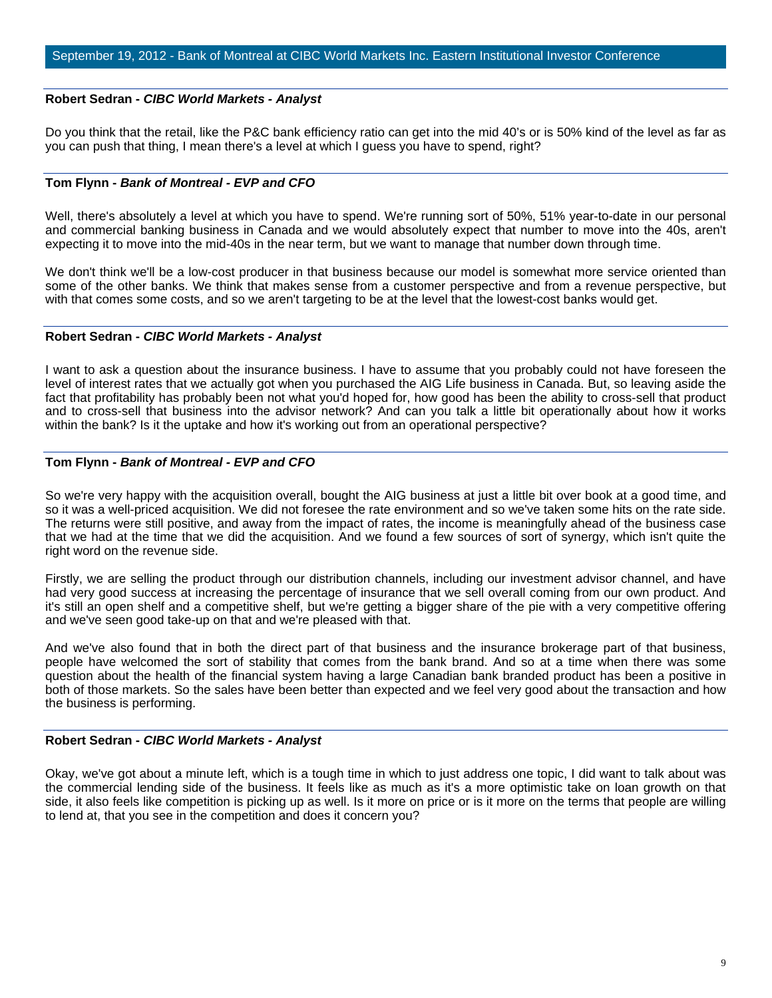## **Robert Sedran -** *CIBC World Markets - Analyst*

Do you think that the retail, like the P&C bank efficiency ratio can get into the mid 40's or is 50% kind of the level as far as you can push that thing, I mean there's a level at which I guess you have to spend, right?

# **Tom Flynn -** *Bank of Montreal - EVP and CFO*

Well, there's absolutely a level at which you have to spend. We're running sort of 50%, 51% year-to-date in our personal and commercial banking business in Canada and we would absolutely expect that number to move into the 40s, aren't expecting it to move into the mid-40s in the near term, but we want to manage that number down through time.

We don't think we'll be a low-cost producer in that business because our model is somewhat more service oriented than some of the other banks. We think that makes sense from a customer perspective and from a revenue perspective, but with that comes some costs, and so we aren't targeting to be at the level that the lowest-cost banks would get.

#### **Robert Sedran -** *CIBC World Markets - Analyst*

I want to ask a question about the insurance business. I have to assume that you probably could not have foreseen the level of interest rates that we actually got when you purchased the AIG Life business in Canada. But, so leaving aside the fact that profitability has probably been not what you'd hoped for, how good has been the ability to cross-sell that product and to cross-sell that business into the advisor network? And can you talk a little bit operationally about how it works within the bank? Is it the uptake and how it's working out from an operational perspective?

## **Tom Flynn -** *Bank of Montreal - EVP and CFO*

So we're very happy with the acquisition overall, bought the AIG business at just a little bit over book at a good time, and so it was a well-priced acquisition. We did not foresee the rate environment and so we've taken some hits on the rate side. The returns were still positive, and away from the impact of rates, the income is meaningfully ahead of the business case that we had at the time that we did the acquisition. And we found a few sources of sort of synergy, which isn't quite the right word on the revenue side.

Firstly, we are selling the product through our distribution channels, including our investment advisor channel, and have had very good success at increasing the percentage of insurance that we sell overall coming from our own product. And it's still an open shelf and a competitive shelf, but we're getting a bigger share of the pie with a very competitive offering and we've seen good take-up on that and we're pleased with that.

And we've also found that in both the direct part of that business and the insurance brokerage part of that business, people have welcomed the sort of stability that comes from the bank brand. And so at a time when there was some question about the health of the financial system having a large Canadian bank branded product has been a positive in both of those markets. So the sales have been better than expected and we feel very good about the transaction and how the business is performing.

#### **Robert Sedran -** *CIBC World Markets - Analyst*

Okay, we've got about a minute left, which is a tough time in which to just address one topic, I did want to talk about was the commercial lending side of the business. It feels like as much as it's a more optimistic take on loan growth on that side, it also feels like competition is picking up as well. Is it more on price or is it more on the terms that people are willing to lend at, that you see in the competition and does it concern you?